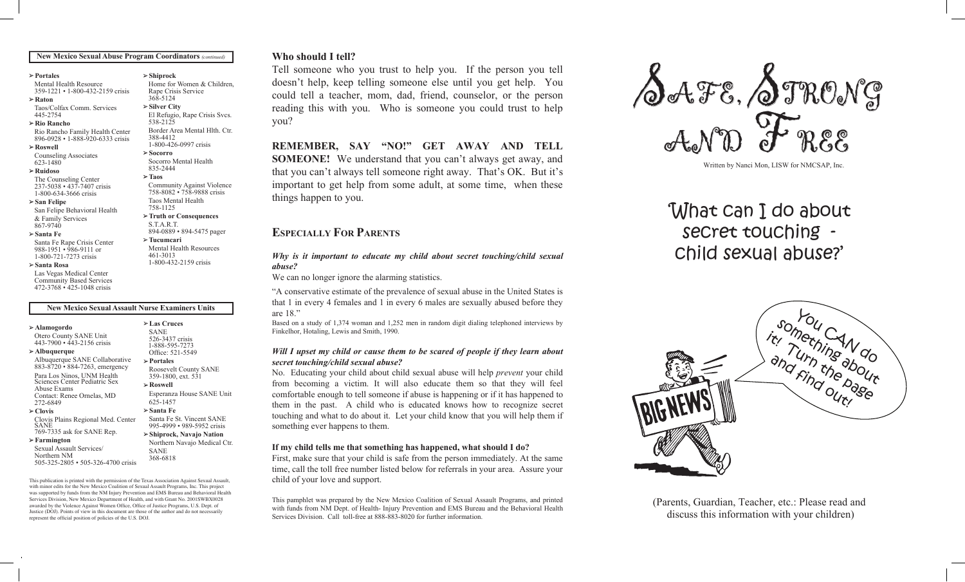#### **New Mexico Sexual Abuse Program Coordinators** *(continued)*

**Shiprock**

538-2125

388-4412

835-2444 **Taos**

S.T.A.R.T.

**Tucumcari**

461-3013

**Socorro** 

Home for Women & Children, Rape Crisis Service 368-5124 **Silver City**

El Refugio, Rape Crisis Svcs.

Border Area Mental Hlth. Ctr.

Community Against Violence 758-8082 • 758-9888 crisis Taos Mental Health 758-1125

1-800-426-0997 crisis

Socorro Mental Health

**Truth or Consequences**

894-0889 • 894-5475 pager

Mental Health Resources

1-800-432-2159 crisis

#### **Portales**

Mental Health Resource 359-1221 • 1-800-432-2159 crisis

**Raton**

Taos/Colfax Comm. Services 445-2754

#### **Rio Rancho**

Rio Rancho Family Health Center 896-0928 • 1-888-920-6333 crisis

**Roswell**  Counseling Associates

623-1480

## **Ruidoso**

The Counseling Center 237-5038 • 437-7407 crisis 1-800-634-3666 crisis

#### **San Felipe** San Felipe Behavioral Health

& Family Services 867-9740

#### **Santa Fe**

Santa Fe Rape Crisis Center 988-1951 • 986-9111 or 1-800-721-7273 crisis

#### **Santa Rosa**

Las Vegas Medical Center Community Based Services 472-3768 • 425-1048 crisis

#### **New Mexico Sexual Assault Nurse Examiners Units**

#### **Alamogordo**

Otero County SANE Unit 443-7900 • 443-2156 crisis

**Albuquerque** Albuquerque SANE Collaborative 883-8720 • 884-7263, emergency Para Los Ninos, UNM Health Sciences Center Pediatric Sex Abuse Exams

- Contact: Renee Ornelas, MD 272-6849
- **Clovis** Clovis Plains Regional Med. Center

SANE 769-7335 ask for SANE Rep.

**Farmington** Sexual Assault Services/ Northern NM

505-325-2805 • 505-326-4700 crisis

This publication is printed with the permission of the Texas Association Against Sexual Assault, with minor edits for the New Mexico Coalition of Sexual Assault Programs, Inc. This project was supported by funds from the NM Injury Prevention and EMS Bureau and Behavioral Health Services Division, New Mexico Department of Health, and with Grant No. 2001SWBX0028 awarded by the Violence Against Women Office, Office of Justice Programs, U.S. Dept. of Justice (DOJ). Points of view in this document are those of the author and do not necessarily represent the official position of policies of the U.S. DOJ.

# **Who should I tell? Who should I tell?**

Tell someone who you trust to help you. If the person you tell Tell someone who you trust to help you. If the person you tell doesn't help, keep telling someone else until you get help. You doesn't help, keep telling someone else until you get help. You could tell a teacher, mom, dad, friend, counselor, or the person could tell a teacher, mom, dad, friend, counselor, or the person reading this with you. Who is someone you could trust to help  $\sim$ you? you?  $\frac{1}{\sqrt{2}}$ 

**REMEMBER, SAY "NO!" GET AWAY AND TELL**  $\mathcal{C}$ **SOMEONE!** We understand that you can't always get away, and that you can't always tell someone right away. That's OK. But it's important to get help from some adult, at some time, when these things happen to you. things happen to you.

# **ESPECIALLY FOR PARENTS ESPECIALLY FOR PARENTS**

#### *Why is it important to educate my child about secret touching/child sexual abuse? abuse?* Programs for Children & Why is it important to educate my child about secret touching/child sexual

We can no longer ignore the alarming statistics. We can no longer ignore the alarming statistics.

"A conservative estimate of the prevalence of sexual abuse in the United States is at  $1$  in every 4 females and  $1$  in every 6 males are sexually abused before they are 18." are 18."  $\begin{array}{c} \sim \text{mnc} \\ \text{11} \end{array}$ that 1 in every 4 females and 1 in every 6 males are sexually abused before they

Based on a study of 1,374 woman and 1,252 men in random digit dialing telephoned interviews by Finkelhor, Hotaling, Lewis and Smith, 1990. Finkelhor, Hotaling, Lewis and Smith, 1990. *<b>P* 

#### *Will I upset my child or cause them to be scared of people if they learn about secret touching/child sexual abuse? secret touching/child sexual abuse? Will I upset my child or cause them to be scared of people if they learn about*

No. Educating your child about child sexual abuse will help *prevent* your child from becoming a victim. It will also educate them so that they will feel comfortable enough to tell someone if abuse is happening or if it has happened to them in the past. A child who is educated knows how to recognize secret touching and what to do about it. Let your child know that you will help them if something ever happens to them. something ever happens to them.  $\frac{1}{2}$  $\frac{1}{2}$ **Clovis** them in the past. A child who is educated knows how to recognize secret 769-2345 • 1-800-432-2159

# If my child tells me that something has happened, what should I do?

First, make sure that your child is safe from the person immediately. At the same time, call the toll free number listed below for referrals in your area. Assure your child of your love and support. child of your love and support.

It is pamphlet was prepared by the New Mexico Coalition of Sexual Assault Programs, and printed with funds from NM Dept. of Health- Injury Prevention and EMS Bureau and the Behavioral Health Services Division. Call toll-free at 888-883-8020 for further information. Services Division. Call toll-free at 888-883-8020 for further information. This pamphlet was prepared by the New Mexico Coalition of Sexual Assault Programs, and printed



Written by Nanci Mon, LISW for NMCSAP, Inc. Written by Nanci Mon, LISW for NMCSAP, Inc.

## What can I do about secret touching child sexual abuse?' child sexual abuse?' Community Counseling secret touching *<u>M Counseling Svesseling Svesseling Svesseling Svesseling Svesseling Svesseling Svesseling Svesseling Svesseling Svesseling Svesseling Svesseling Svesseling Svesseling Svesseling Svesseling Svesseling Svesseling Svessel*</u>



(Parents, Guardian, Teacher, etc.: Please read and (Parents, Guardian, Teacher, etc.: Please read and discuss this information with your children) discuss this information with your children)

### **Las Cruces** SANE 526-3437 crisis

1-888-595-7273 Office: 521-5549 **Portales** Roosevelt County SANE 359-1800, ext. 531 **Roswell**

368-6818

Esperanza House SANE Unit 625-1457

Santa Fe St. Vincent SANE 995-4999 • 989-5952 crisis **Shiprock, Navajo Nation** Northern Navajo Medical Ctr. SANE

**Santa Fe**